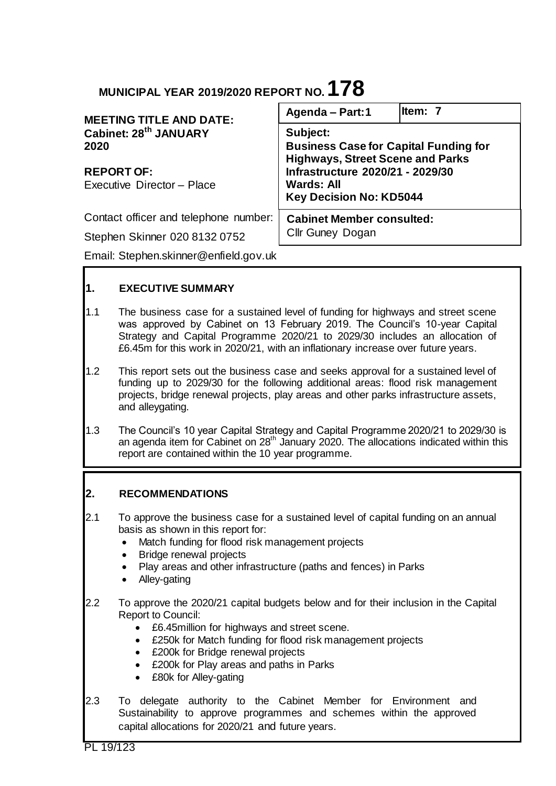# **MUNICIPAL YEAR 2019/2020 REPORT NO.178**

| <b>MEETING TITLE AND DATE:</b>                                                               | Agenda - Part: 1                                                                                                                                                                               | ltem: 7 |
|----------------------------------------------------------------------------------------------|------------------------------------------------------------------------------------------------------------------------------------------------------------------------------------------------|---------|
| Cabinet: 28 <sup>th</sup> JANUARY<br>2020<br><b>REPORT OF:</b><br>Executive Director - Place | Subject:<br><b>Business Case for Capital Funding for</b><br><b>Highways, Street Scene and Parks</b><br>Infrastructure 2020/21 - 2029/30<br><b>Wards: All</b><br><b>Key Decision No: KD5044</b> |         |
| Contact officer and telephone number:                                                        | <b>Cabinet Member consulted:</b><br>Cllr Guney Dogan                                                                                                                                           |         |
| Stephen Skinner 020 8132 0752                                                                |                                                                                                                                                                                                |         |
| Email: Stephen.skinner@enfield.gov.uk                                                        |                                                                                                                                                                                                |         |

# **1. EXECUTIVE SUMMARY**

- 1.1 The business case for a sustained level of funding for highways and street scene was approved by Cabinet on 13 February 2019. The Council's 10-year Capital Strategy and Capital Programme 2020/21 to 2029/30 includes an allocation of £6.45m for this work in 2020/21, with an inflationary increase over future years.
- 1.2 This report sets out the business case and seeks approval for a sustained level of funding up to 2029/30 for the following additional areas: flood risk management projects, bridge renewal projects, play areas and other parks infrastructure assets, and alleygating.
- 1.3 The Council's 10 year Capital Strategy and Capital Programme 2020/21 to 2029/30 is an agenda item for Cabinet on 28<sup>th</sup> January 2020. The allocations indicated within this report are contained within the 10 year programme.

## **2. RECOMMENDATIONS**

- 2.1 To approve the business case for a sustained level of capital funding on an annual basis as shown in this report for:
	- Match funding for flood risk management projects
	- Bridge renewal projects
	- Play areas and other infrastructure (paths and fences) in Parks
	- Alley-gating
- 2.2 To approve the 2020/21 capital budgets below and for their inclusion in the Capital Report to Council:
	- £6.45million for highways and street scene.
	- £250k for Match funding for flood risk management projects
	- £200k for Bridge renewal projects
	- £200k for Play areas and paths in Parks
	- £80k for Alley-gating
- 2.3 To delegate authority to the Cabinet Member for Environment and Sustainability to approve programmes and schemes within the approved capital allocations for 2020/21 and future years.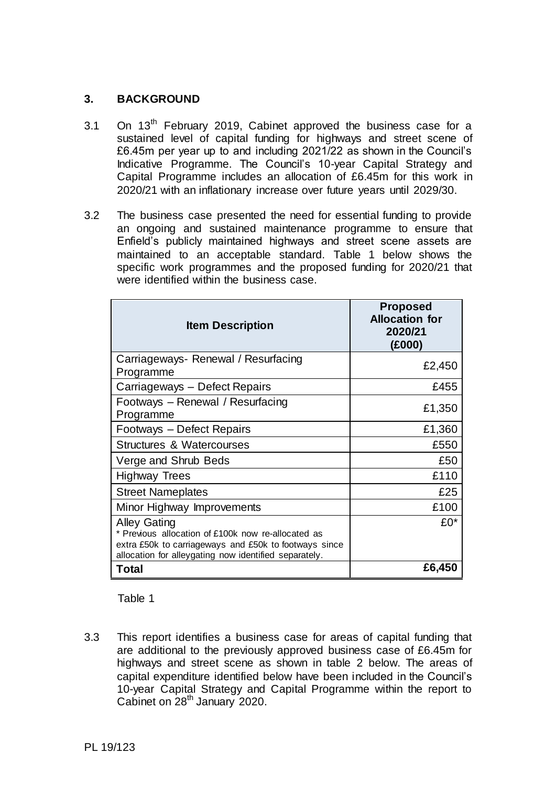# **3. BACKGROUND**

- 3.1 On 13<sup>th</sup> February 2019, Cabinet approved the business case for a sustained level of capital funding for highways and street scene of £6.45m per year up to and including 2021/22 as shown in the Council's Indicative Programme. The Council's 10-year Capital Strategy and Capital Programme includes an allocation of £6.45m for this work in 2020/21 with an inflationary increase over future years until 2029/30.
- 3.2 The business case presented the need for essential funding to provide an ongoing and sustained maintenance programme to ensure that Enfield's publicly maintained highways and street scene assets are maintained to an acceptable standard. Table 1 below shows the specific work programmes and the proposed funding for 2020/21 that were identified within the business case.

| <b>Item Description</b>                                                                                                                                                                     | <b>Proposed</b><br><b>Allocation for</b><br>2020/21<br>(£000) |
|---------------------------------------------------------------------------------------------------------------------------------------------------------------------------------------------|---------------------------------------------------------------|
| Carriageways-Renewal / Resurfacing<br>Programme                                                                                                                                             | £2,450                                                        |
| Carriageways – Defect Repairs                                                                                                                                                               | £455                                                          |
| Footways - Renewal / Resurfacing<br>Programme                                                                                                                                               | £1,350                                                        |
| Footways - Defect Repairs                                                                                                                                                                   | £1,360                                                        |
| Structures & Watercourses                                                                                                                                                                   | £550                                                          |
| Verge and Shrub Beds                                                                                                                                                                        | £50                                                           |
| Highway Trees                                                                                                                                                                               | £110                                                          |
| <b>Street Nameplates</b>                                                                                                                                                                    | £25                                                           |
| Minor Highway Improvements                                                                                                                                                                  | £100                                                          |
| <b>Alley Gating</b><br>* Previous allocation of £100k now re-allocated as<br>extra £50k to carriageways and £50k to footways since<br>allocation for alleygating now identified separately. | £0*                                                           |
| Total                                                                                                                                                                                       | £6,450                                                        |

## Table 1

3.3 This report identifies a business case for areas of capital funding that are additional to the previously approved business case of £6.45m for highways and street scene as shown in table 2 below. The areas of capital expenditure identified below have been included in the Council's 10-year Capital Strategy and Capital Programme within the report to Cabinet on 28<sup>th</sup> January 2020.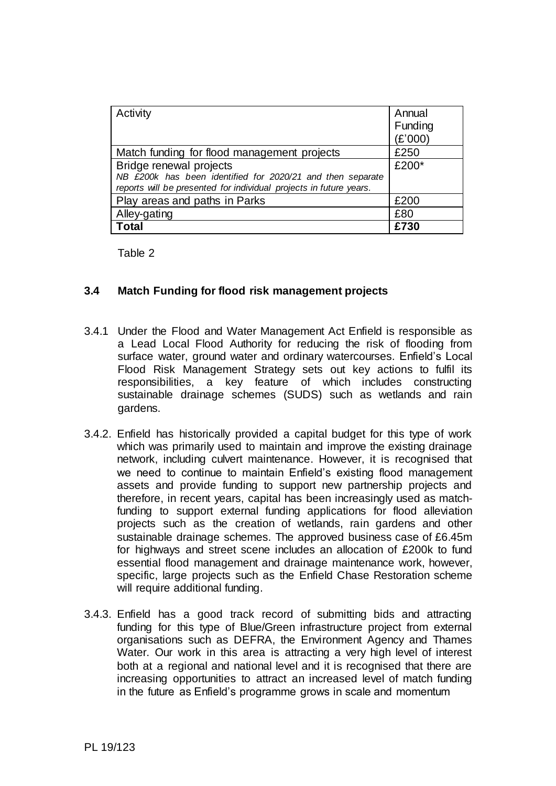| Activity                                                           | Annual  |
|--------------------------------------------------------------------|---------|
|                                                                    | Funding |
|                                                                    | (£'000) |
| Match funding for flood management projects                        | £250    |
| Bridge renewal projects                                            | £200*   |
| NB £200k has been identified for 2020/21 and then separate         |         |
| reports will be presented for individual projects in future years. |         |
| Play areas and paths in Parks                                      | £200    |
| Alley-gating                                                       | £80     |
| Total                                                              | £730    |

Table 2

## **3.4 Match Funding for flood risk management projects**

- 3.4.1 Under the Flood and Water Management Act Enfield is responsible as a Lead Local Flood Authority for reducing the risk of flooding from surface water, ground water and ordinary watercourses. Enfield's Local Flood Risk Management Strategy sets out key actions to fulfil its responsibilities, a key feature of which includes constructing sustainable drainage schemes (SUDS) such as wetlands and rain gardens.
- 3.4.2. Enfield has historically provided a capital budget for this type of work which was primarily used to maintain and improve the existing drainage network, including culvert maintenance. However, it is recognised that we need to continue to maintain Enfield's existing flood management assets and provide funding to support new partnership projects and therefore, in recent years, capital has been increasingly used as matchfunding to support external funding applications for flood alleviation projects such as the creation of wetlands, rain gardens and other sustainable drainage schemes. The approved business case of £6.45m for highways and street scene includes an allocation of £200k to fund essential flood management and drainage maintenance work, however, specific, large projects such as the Enfield Chase Restoration scheme will require additional funding.
- 3.4.3. Enfield has a good track record of submitting bids and attracting funding for this type of Blue/Green infrastructure project from external organisations such as DEFRA, the Environment Agency and Thames Water. Our work in this area is attracting a very high level of interest both at a regional and national level and it is recognised that there are increasing opportunities to attract an increased level of match funding in the future as Enfield's programme grows in scale and momentum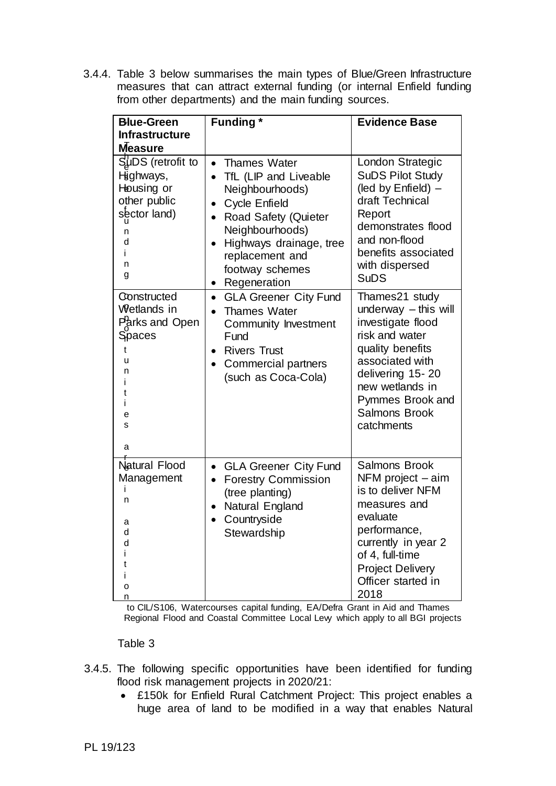3.4.4. Table 3 below summarises the main types of Blue/Green Infrastructure measures that can attract external funding (or internal Enfield funding from other departments) and the main funding sources.

| <b>Blue-Green</b><br><b>Infrastructure</b><br><b>Measure</b>                                                 | <b>Funding</b> *                                                                                                                                                                                                                                                                     | <b>Evidence Base</b>                                                                                                                                                                                                    |
|--------------------------------------------------------------------------------------------------------------|--------------------------------------------------------------------------------------------------------------------------------------------------------------------------------------------------------------------------------------------------------------------------------------|-------------------------------------------------------------------------------------------------------------------------------------------------------------------------------------------------------------------------|
| $S_{\mu}^{1}$ DS (retrofit to<br>Highways,<br>Housing or<br>other public<br>sector land)<br>n<br>d<br>n<br>g | <b>Thames Water</b><br>$\bullet$<br>TfL (LIP and Liveable<br>$\bullet$<br>Neighbourhoods)<br><b>Cycle Enfield</b><br>$\bullet$<br>Road Safety (Quieter<br>$\bullet$<br>Neighbourhoods)<br>Highways drainage, tree<br>$\bullet$<br>replacement and<br>footway schemes<br>Regeneration | London Strategic<br><b>SuDS Pilot Study</b><br>(led by Enfield) -<br>draft Technical<br>Report<br>demonstrates flood<br>and non-flood<br>benefits associated<br>with dispersed<br><b>SuDS</b>                           |
| Constructed<br><b>Wetlands</b> in<br>Parks and Open<br>Spaces<br>t<br>u<br>n<br>е<br>s<br>а                  | <b>GLA Greener City Fund</b><br>$\bullet$<br><b>Thames Water</b><br>Community Investment<br>Fund<br><b>Rivers Trust</b><br>$\bullet$<br>Commercial partners<br>$\bullet$<br>(such as Coca-Cola)                                                                                      | Thames21 study<br>underway $-$ this will<br>investigate flood<br>risk and water<br>quality benefits<br>associated with<br>delivering 15-20<br>new wetlands in<br>Pymmes Brook and<br><b>Salmons Brook</b><br>catchments |
| Natural Flood<br>Management<br>n<br>а<br>d<br>d<br>о<br>n                                                    | <b>GLA Greener City Fund</b><br>$\bullet$<br><b>Forestry Commission</b><br>$\bullet$<br>(tree planting)<br>Natural England<br>Countryside<br>Stewardship                                                                                                                             | <b>Salmons Brook</b><br>NFM project - aim<br>is to deliver NFM<br>measures and<br>evaluate<br>performance,<br>currently in year 2<br>of 4, full-time<br><b>Project Delivery</b><br>Officer started in<br>2018           |

to CIL/S106, Watercourses capital funding, EA/Defra Grant in Aid and Thames Regional Flood and Coastal Committee Local Levy which apply to all BGI projects

## Table 3

- 3.4.5. The following specific opportunities have been identified for funding flood risk management projects in 2020/21:
	- £150k for Enfield Rural Catchment Project: This project enables a huge area of land to be modified in a way that enables Natural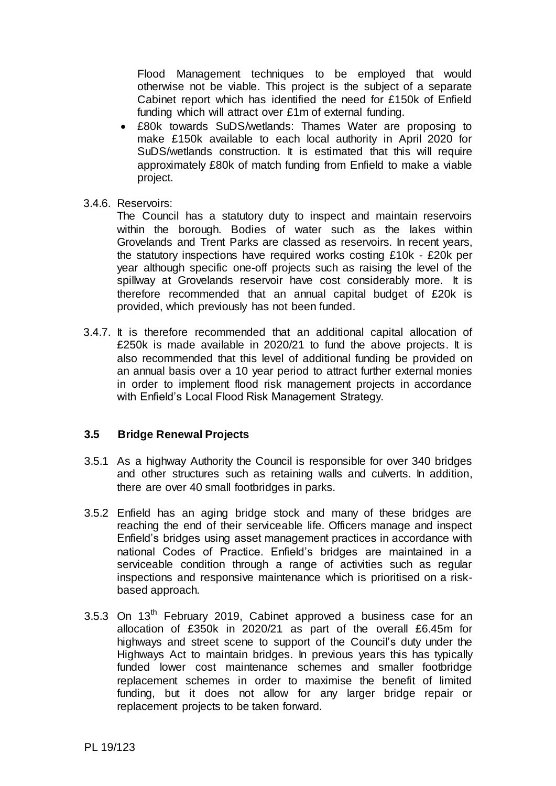Flood Management techniques to be employed that would otherwise not be viable. This project is the subject of a separate Cabinet report which has identified the need for £150k of Enfield funding which will attract over £1m of external funding.

- £80k towards SuDS/wetlands: Thames Water are proposing to make £150k available to each local authority in April 2020 for SuDS/wetlands construction. It is estimated that this will require approximately £80k of match funding from Enfield to make a viable project.
- 3.4.6. Reservoirs:

The Council has a statutory duty to inspect and maintain reservoirs within the borough. Bodies of water such as the lakes within Grovelands and Trent Parks are classed as reservoirs. In recent years, the statutory inspections have required works costing £10k - £20k per year although specific one-off projects such as raising the level of the spillway at Grovelands reservoir have cost considerably more. It is therefore recommended that an annual capital budget of £20k is provided, which previously has not been funded.

3.4.7. It is therefore recommended that an additional capital allocation of £250k is made available in 2020/21 to fund the above projects. It is also recommended that this level of additional funding be provided on an annual basis over a 10 year period to attract further external monies in order to implement flood risk management projects in accordance with Enfield's Local Flood Risk Management Strategy.

## **3.5 Bridge Renewal Projects**

- 3.5.1 As a highway Authority the Council is responsible for over 340 bridges and other structures such as retaining walls and culverts. In addition, there are over 40 small footbridges in parks.
- 3.5.2 Enfield has an aging bridge stock and many of these bridges are reaching the end of their serviceable life. Officers manage and inspect Enfield's bridges using asset management practices in accordance with national Codes of Practice. Enfield's bridges are maintained in a serviceable condition through a range of activities such as regular inspections and responsive maintenance which is prioritised on a riskbased approach.
- 3.5.3 On  $13<sup>th</sup>$  February 2019, Cabinet approved a business case for an allocation of £350k in 2020/21 as part of the overall £6.45m for highways and street scene to support of the Council's duty under the Highways Act to maintain bridges. In previous years this has typically funded lower cost maintenance schemes and smaller footbridge replacement schemes in order to maximise the benefit of limited funding, but it does not allow for any larger bridge repair or replacement projects to be taken forward.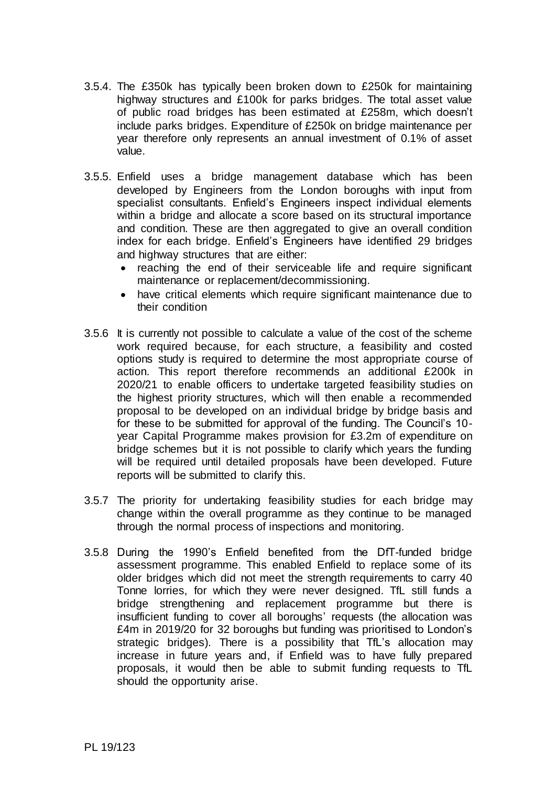- 3.5.4. The £350k has typically been broken down to £250k for maintaining highway structures and £100k for parks bridges. The total asset value of public road bridges has been estimated at £258m, which doesn't include parks bridges. Expenditure of £250k on bridge maintenance per year therefore only represents an annual investment of 0.1% of asset value.
- 3.5.5. Enfield uses a bridge management database which has been developed by Engineers from the London boroughs with input from specialist consultants. Enfield's Engineers inspect individual elements within a bridge and allocate a score based on its structural importance and condition. These are then aggregated to give an overall condition index for each bridge. Enfield's Engineers have identified 29 bridges and highway structures that are either:
	- reaching the end of their serviceable life and require significant maintenance or replacement/decommissioning.
	- have critical elements which require significant maintenance due to their condition
- 3.5.6 It is currently not possible to calculate a value of the cost of the scheme work required because, for each structure, a feasibility and costed options study is required to determine the most appropriate course of action. This report therefore recommends an additional £200k in 2020/21 to enable officers to undertake targeted feasibility studies on the highest priority structures, which will then enable a recommended proposal to be developed on an individual bridge by bridge basis and for these to be submitted for approval of the funding. The Council's 10 year Capital Programme makes provision for £3.2m of expenditure on bridge schemes but it is not possible to clarify which years the funding will be required until detailed proposals have been developed. Future reports will be submitted to clarify this.
- 3.5.7 The priority for undertaking feasibility studies for each bridge may change within the overall programme as they continue to be managed through the normal process of inspections and monitoring.
- 3.5.8 During the 1990's Enfield benefited from the DfT-funded bridge assessment programme. This enabled Enfield to replace some of its older bridges which did not meet the strength requirements to carry 40 Tonne lorries, for which they were never designed. TfL still funds a bridge strengthening and replacement programme but there is insufficient funding to cover all boroughs' requests (the allocation was £4m in 2019/20 for 32 boroughs but funding was prioritised to London's strategic bridges). There is a possibility that TfL's allocation may increase in future years and, if Enfield was to have fully prepared proposals, it would then be able to submit funding requests to TfL should the opportunity arise.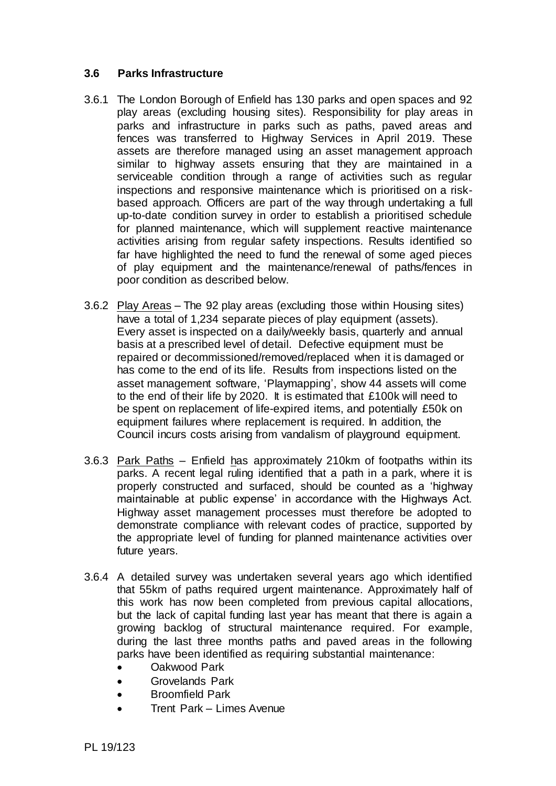# **3.6 Parks Infrastructure**

- 3.6.1 The London Borough of Enfield has 130 parks and open spaces and 92 play areas (excluding housing sites). Responsibility for play areas in parks and infrastructure in parks such as paths, paved areas and fences was transferred to Highway Services in April 2019. These assets are therefore managed using an asset management approach similar to highway assets ensuring that they are maintained in a serviceable condition through a range of activities such as regular inspections and responsive maintenance which is prioritised on a riskbased approach. Officers are part of the way through undertaking a full up-to-date condition survey in order to establish a prioritised schedule for planned maintenance, which will supplement reactive maintenance activities arising from regular safety inspections. Results identified so far have highlighted the need to fund the renewal of some aged pieces of play equipment and the maintenance/renewal of paths/fences in poor condition as described below.
- 3.6.2 Play Areas The 92 play areas (excluding those within Housing sites) have a total of 1,234 separate pieces of play equipment (assets). Every asset is inspected on a daily/weekly basis, quarterly and annual basis at a prescribed level of detail. Defective equipment must be repaired or decommissioned/removed/replaced when it is damaged or has come to the end of its life. Results from inspections listed on the asset management software, 'Playmapping', show 44 assets will come to the end of their life by 2020. It is estimated that £100k will need to be spent on replacement of life-expired items, and potentially £50k on equipment failures where replacement is required. In addition, the Council incurs costs arising from vandalism of playground equipment.
- 3.6.3 Park Paths Enfield has approximately 210km of footpaths within its parks. A recent legal ruling identified that a path in a park, where it is properly constructed and surfaced, should be counted as a 'highway maintainable at public expense' in accordance with the Highways Act. Highway asset management processes must therefore be adopted to demonstrate compliance with relevant codes of practice, supported by the appropriate level of funding for planned maintenance activities over future years.
- 3.6.4 A detailed survey was undertaken several years ago which identified that 55km of paths required urgent maintenance. Approximately half of this work has now been completed from previous capital allocations, but the lack of capital funding last year has meant that there is again a growing backlog of structural maintenance required. For example, during the last three months paths and paved areas in the following parks have been identified as requiring substantial maintenance:
	- Oakwood Park
	- Grovelands Park
	- Broomfield Park
	- Trent Park Limes Avenue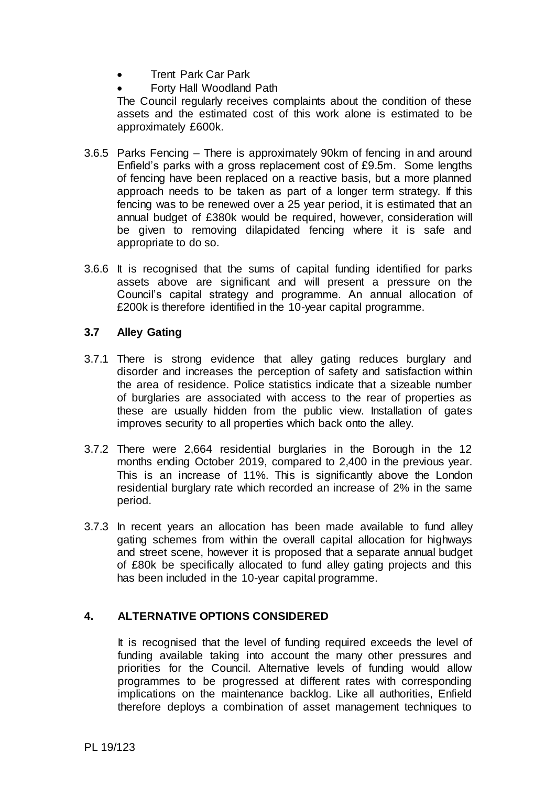- Trent Park Car Park
	- Forty Hall Woodland Path

The Council regularly receives complaints about the condition of these assets and the estimated cost of this work alone is estimated to be approximately £600k.

- 3.6.5 Parks Fencing There is approximately 90km of fencing in and around Enfield's parks with a gross replacement cost of £9.5m. Some lengths of fencing have been replaced on a reactive basis, but a more planned approach needs to be taken as part of a longer term strategy. If this fencing was to be renewed over a 25 year period, it is estimated that an annual budget of £380k would be required, however, consideration will be given to removing dilapidated fencing where it is safe and appropriate to do so.
- 3.6.6 It is recognised that the sums of capital funding identified for parks assets above are significant and will present a pressure on the Council's capital strategy and programme. An annual allocation of £200k is therefore identified in the 10-year capital programme.

# **3.7 Alley Gating**

- 3.7.1 There is strong evidence that alley gating reduces burglary and disorder and increases the perception of safety and satisfaction within the area of residence. Police statistics indicate that a sizeable number of burglaries are associated with access to the rear of properties as these are usually hidden from the public view. Installation of gates improves security to all properties which back onto the alley.
- 3.7.2 There were 2,664 residential burglaries in the Borough in the 12 months ending October 2019, compared to 2,400 in the previous year. This is an increase of 11%. This is significantly above the London residential burglary rate which recorded an increase of 2% in the same period.
- 3.7.3 In recent years an allocation has been made available to fund alley gating schemes from within the overall capital allocation for highways and street scene, however it is proposed that a separate annual budget of £80k be specifically allocated to fund alley gating projects and this has been included in the 10-year capital programme.

# **4. ALTERNATIVE OPTIONS CONSIDERED**

It is recognised that the level of funding required exceeds the level of funding available taking into account the many other pressures and priorities for the Council. Alternative levels of funding would allow programmes to be progressed at different rates with corresponding implications on the maintenance backlog. Like all authorities, Enfield therefore deploys a combination of asset management techniques to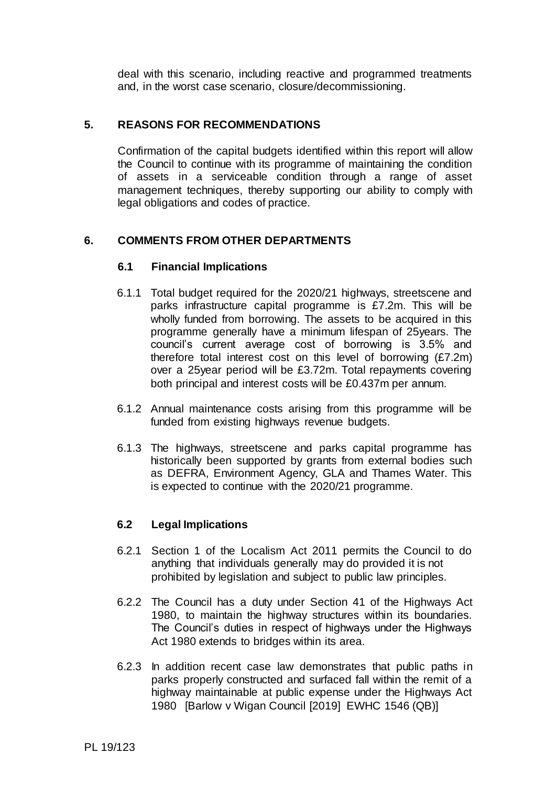deal with this scenario, including reactive and programmed treatments and, in the worst case scenario, closure/decommissioning.

# **5. REASONS FOR RECOMMENDATIONS**

Confirmation of the capital budgets identified within this report will allow the Council to continue with its programme of maintaining the condition of assets in a serviceable condition through a range of asset management techniques, thereby supporting our ability to comply with legal obligations and codes of practice.

# **6. COMMENTS FROM OTHER DEPARTMENTS**

#### **6.1 Financial Implications**

- 6.1.1 Total budget required for the 2020/21 highways, streetscene and parks infrastructure capital programme is £7.2m. This will be wholly funded from borrowing. The assets to be acquired in this programme generally have a minimum lifespan of 25years. The council's current average cost of borrowing is 3.5% and therefore total interest cost on this level of borrowing (£7.2m) over a 25year period will be £3.72m. Total repayments covering both principal and interest costs will be £0.437m per annum.
- 6.1.2 Annual maintenance costs arising from this programme will be funded from existing highways revenue budgets.
- 6.1.3 The highways, streetscene and parks capital programme has historically been supported by grants from external bodies such as DEFRA, Environment Agency, GLA and Thames Water. This is expected to continue with the 2020/21 programme.

## **6.2 Legal Implications**

- 6.2.1 Section 1 of the Localism Act 2011 permits the Council to do anything that individuals generally may do provided it is not prohibited by legislation and subject to public law principles.
- 6.2.2 The Council has a duty under Section 41 of the Highways Act 1980, to maintain the highway structures within its boundaries. The Council's duties in respect of highways under the Highways Act 1980 extends to bridges within its area.
- 6.2.3 In addition recent case law demonstrates that public paths in parks properly constructed and surfaced fall within the remit of a highway maintainable at public expense under the Highways Act 1980 [Barlow v Wigan Council [2019] EWHC 1546 (QB)]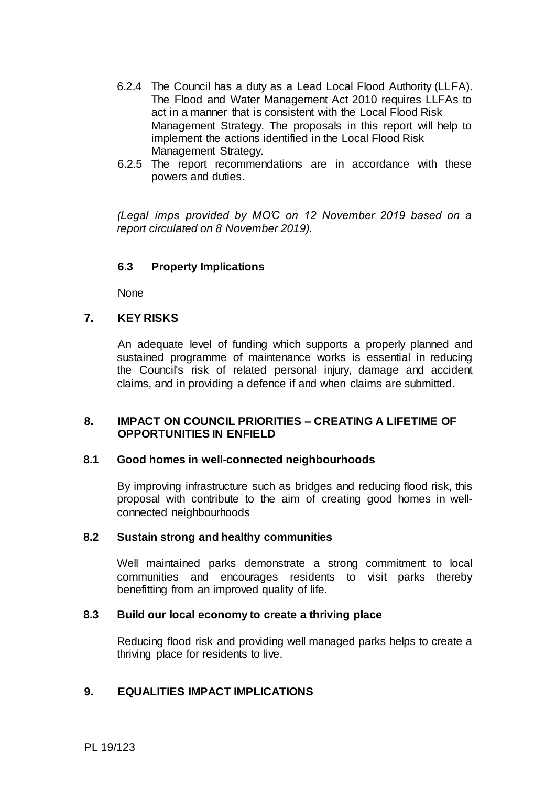- 6.2.4 The Council has a duty as a Lead Local Flood Authority (LLFA). The Flood and Water Management Act 2010 requires LLFAs to act in a manner that is consistent with the Local Flood Risk Management Strategy. The proposals in this report will help to implement the actions identified in the Local Flood Risk Management Strategy.
- 6.2.5 The report recommendations are in accordance with these powers and duties.

*(Legal imps provided by MO'C on 12 November 2019 based on a report circulated on 8 November 2019).*

## **6.3 Property Implications**

None

#### **7. KEY RISKS**

An adequate level of funding which supports a properly planned and sustained programme of maintenance works is essential in reducing the Council's risk of related personal injury, damage and accident claims, and in providing a defence if and when claims are submitted.

#### **8. IMPACT ON COUNCIL PRIORITIES – CREATING A LIFETIME OF OPPORTUNITIES IN ENFIELD**

#### **8.1 Good homes in well-connected neighbourhoods**

By improving infrastructure such as bridges and reducing flood risk, this proposal with contribute to the aim of creating good homes in wellconnected neighbourhoods

#### **8.2 Sustain strong and healthy communities**

Well maintained parks demonstrate a strong commitment to local communities and encourages residents to visit parks thereby benefitting from an improved quality of life.

#### **8.3 Build our local economy to create a thriving place**

Reducing flood risk and providing well managed parks helps to create a thriving place for residents to live.

#### **9. EQUALITIES IMPACT IMPLICATIONS**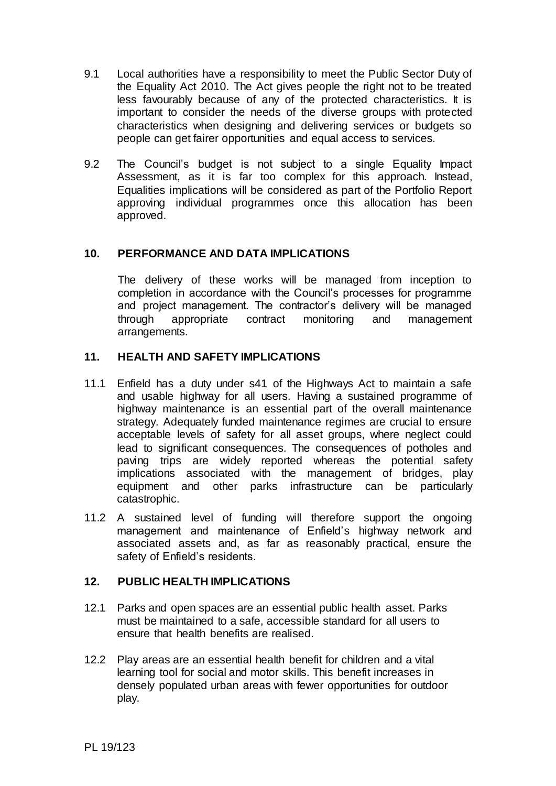- 9.1 Local authorities have a responsibility to meet the Public Sector Duty of the Equality Act 2010. The Act gives people the right not to be treated less favourably because of any of the protected characteristics. It is important to consider the needs of the diverse groups with protected characteristics when designing and delivering services or budgets so people can get fairer opportunities and equal access to services.
- 9.2 The Council's budget is not subject to a single Equality Impact Assessment, as it is far too complex for this approach. Instead, Equalities implications will be considered as part of the Portfolio Report approving individual programmes once this allocation has been approved.

# **10. PERFORMANCE AND DATA IMPLICATIONS**

The delivery of these works will be managed from inception to completion in accordance with the Council's processes for programme and project management. The contractor's delivery will be managed through appropriate contract monitoring and management arrangements.

# **11. HEALTH AND SAFETY IMPLICATIONS**

- 11.1 Enfield has a duty under s41 of the Highways Act to maintain a safe and usable highway for all users. Having a sustained programme of highway maintenance is an essential part of the overall maintenance strategy. Adequately funded maintenance regimes are crucial to ensure acceptable levels of safety for all asset groups, where neglect could lead to significant consequences. The consequences of potholes and paving trips are widely reported whereas the potential safety implications associated with the management of bridges, play equipment and other parks infrastructure can be particularly catastrophic.
- 11.2 A sustained level of funding will therefore support the ongoing management and maintenance of Enfield's highway network and associated assets and, as far as reasonably practical, ensure the safety of Enfield's residents.

## **12. PUBLIC HEALTH IMPLICATIONS**

- 12.1 Parks and open spaces are an essential public health asset. Parks must be maintained to a safe, accessible standard for all users to ensure that health benefits are realised.
- 12.2 Play areas are an essential health benefit for children and a vital learning tool for social and motor skills. This benefit increases in densely populated urban areas with fewer opportunities for outdoor play.